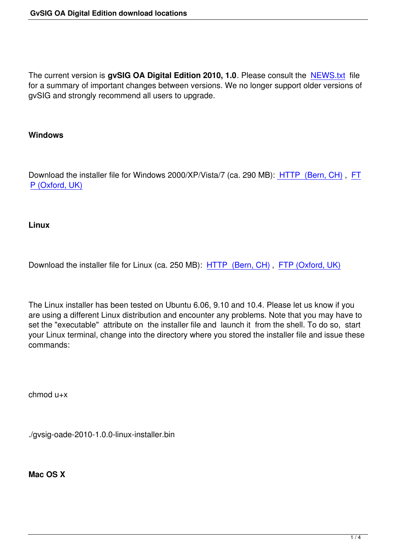The current version is **gvSIG OA Digital Edition 2010, 1.0**. Please consult the NEWS.txt file for a summary of important changes between versions. We no longer support older versions of gvSIG and strongly recommend all users to upgrade.

## **Windows**

Download the installer file for Windows 2000/XP/Vista/7 (ca. 290 MB): HTTP (Bern, CH) , FT P (Oxford, UK)

**[Linux](ftp://88.208.250.116/gvsig-oade-2010-1.0.0-windows-installer.exe)** 

Download the installer file for Linux (ca. 250 MB): HTTP (Bern, CH) , FTP (Oxford, UK)

The Linux installer has been tested on Ubuntu 6.0[6, 9.10 and 10.4. P](http://arch-ws.unibe.ch/files/gvsig/gvsig-oade-2010-1.0.0-linux-installer.bin)le[ase let us know if](ftp://88.208.250.116/gvsig-oade-2010-1.0.0-linux-installer.bin) you are using a different Linux distribution and encounter any problems. Note that you may have to set the "executable" attribute on the installer file and launch it from the shell. To do so, start your Linux terminal, change into the directory where you stored the installer file and issue these commands:

chmod u+x

./gvsig-oade-2010-1.0.0-linux-installer.bin

**Mac OS X**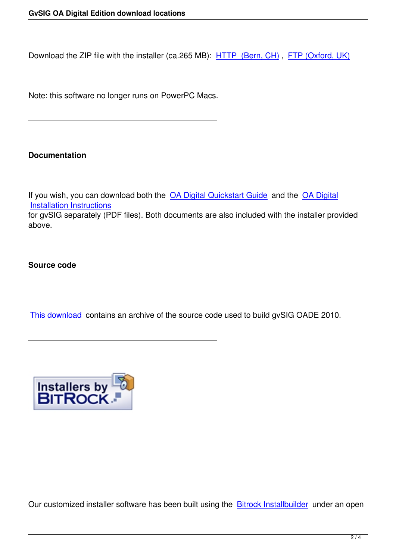Download the ZIP file with the installer (ca.265 MB): HTTP (Bern, CH) , FTP (Oxford, UK)

Note: this software no longer runs on PowerPC Macs[.](http://arch-ws.unibe.ch/files/gvsig/gvsig-oade-2010-1.0.0-osx-installer.app.zip)

## **Documentation**

If you wish, you can download both the OA Digital Quickstart Guide and the OA Digital Installation Instructions for gvSIG separately (PDF files). Both documents are also included with the installer provided above.

## **Source code**

This download contains an archive of the source code used to build gvSIG OADE 2010.



Our customized installer software has been built using the **Bitrock Installbuilder** under an open